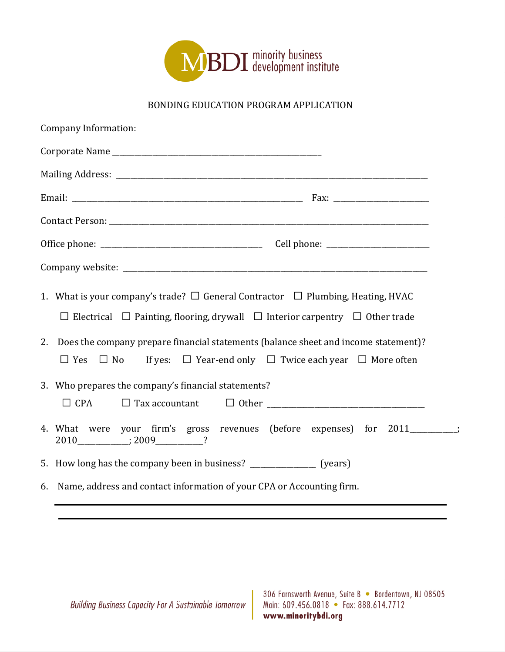

## BONDING EDUCATION PROGRAM APPLICATION

| Company Information:                                                                                                                                                                                                                                                                     |  |  |
|------------------------------------------------------------------------------------------------------------------------------------------------------------------------------------------------------------------------------------------------------------------------------------------|--|--|
|                                                                                                                                                                                                                                                                                          |  |  |
|                                                                                                                                                                                                                                                                                          |  |  |
|                                                                                                                                                                                                                                                                                          |  |  |
|                                                                                                                                                                                                                                                                                          |  |  |
|                                                                                                                                                                                                                                                                                          |  |  |
|                                                                                                                                                                                                                                                                                          |  |  |
| 1. What is your company's trade? $\Box$ General Contractor $\Box$ Plumbing, Heating, HVAC<br>$\Box$ Electrical $\Box$ Painting, flooring, drywall $\Box$ Interior carpentry $\Box$ Other trade<br>2. Does the company prepare financial statements (balance sheet and income statement)? |  |  |
| If yes: $\Box$ Year-end only $\Box$ Twice each year $\Box$ More often<br>$\Box$ Yes<br>$\Box$ No<br>3. Who prepares the company's financial statements?                                                                                                                                  |  |  |
|                                                                                                                                                                                                                                                                                          |  |  |
| 4. What were your firm's gross revenues (before expenses) for 2011________;                                                                                                                                                                                                              |  |  |
| 5. How long has the company been in business? _______________ (years)                                                                                                                                                                                                                    |  |  |
| 6. Name, address and contact information of your CPA or Accounting firm.                                                                                                                                                                                                                 |  |  |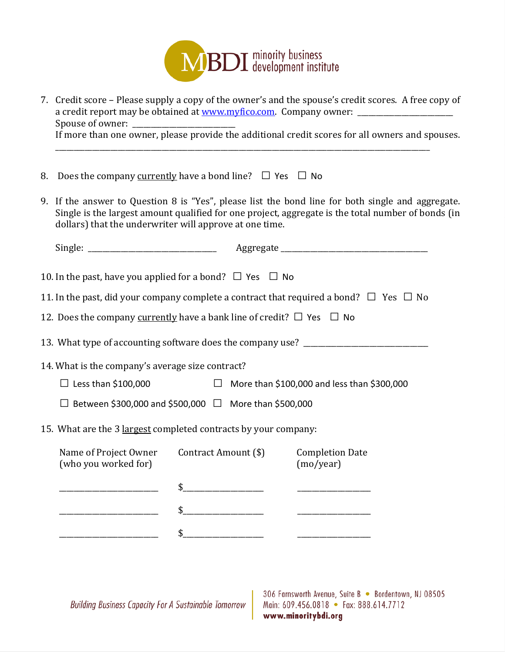

- 7. Credit score Please supply a copy of the owner's and the spouse's credit scores. A free copy of a credit report may be obtained at www.myfico.com. Company owner: \_\_\_\_\_\_\_\_\_\_\_\_\_\_ Spouse of owner: If more than one owner, please provide the additional credit scores for all owners and spouses. \_\_\_\_\_\_\_\_\_\_\_\_\_\_\_\_\_\_\_\_\_\_\_\_\_\_\_\_\_\_\_\_\_\_\_\_\_\_\_\_\_\_\_\_\_\_\_\_\_\_\_\_\_\_\_\_\_\_\_\_\_\_\_\_\_\_\_\_\_\_\_\_\_\_\_\_\_\_\_\_\_\_\_\_\_\_\_\_\_\_\_\_\_\_\_\_\_\_\_\_\_\_
- 8. Does the company <u>currently</u> have a bond line?  $\Box$  Yes  $\Box$  No
- 9. If the answer to Question 8 is "Yes", please list the bond line for both single and aggregate. Single is the largest amount qualified for one project, aggregate is the total number of bonds (in dollars) that the underwriter will approve at one time.

| 10. In the past, have you applied for a bond? $\Box$ Yes $\Box$ No              |                                                                   |                                                                                                  |
|---------------------------------------------------------------------------------|-------------------------------------------------------------------|--------------------------------------------------------------------------------------------------|
|                                                                                 |                                                                   | 11. In the past, did your company complete a contract that required a bond? $\Box$ Yes $\Box$ No |
| 12. Does the company currently have a bank line of credit? $\Box$ Yes $\Box$ No |                                                                   |                                                                                                  |
|                                                                                 |                                                                   | 13. What type of accounting software does the company use? _____________________                 |
| 14. What is the company's average size contract?                                |                                                                   |                                                                                                  |
| $\Box$ Less than \$100,000                                                      |                                                                   | $\Box$ More than \$100,000 and less than \$300,000                                               |
|                                                                                 | $\Box$ Between \$300,000 and \$500,000 $\Box$ More than \$500,000 |                                                                                                  |
| 15. What are the 3 largest completed contracts by your company:                 |                                                                   |                                                                                                  |
| (who you worked for)                                                            | Name of Project Owner Contract Amount (\$)                        | <b>Completion Date</b><br>(mo/year)                                                              |
|                                                                                 | $\frac{1}{2}$                                                     |                                                                                                  |
|                                                                                 | $\frac{1}{2}$                                                     |                                                                                                  |
|                                                                                 | \$                                                                |                                                                                                  |
|                                                                                 |                                                                   |                                                                                                  |